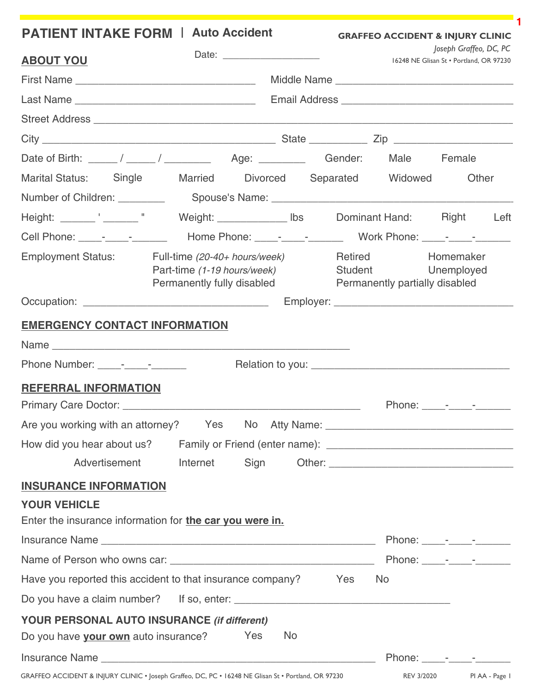| <b>PATIENT INTAKE FORM   Auto Accident</b>                                                                      |                                                                                            |  |     |     | <b>GRAFFEO ACCIDENT &amp; INJURY CLINIC</b>                     |                                                                   |  |
|-----------------------------------------------------------------------------------------------------------------|--------------------------------------------------------------------------------------------|--|-----|-----|-----------------------------------------------------------------|-------------------------------------------------------------------|--|
| <b>ABOUT YOU</b>                                                                                                |                                                                                            |  |     |     |                                                                 | Joseph Graffeo, DC, PC<br>16248 NE Glisan St · Portland, OR 97230 |  |
|                                                                                                                 |                                                                                            |  |     |     |                                                                 |                                                                   |  |
|                                                                                                                 |                                                                                            |  |     |     |                                                                 |                                                                   |  |
|                                                                                                                 |                                                                                            |  |     |     |                                                                 |                                                                   |  |
|                                                                                                                 |                                                                                            |  |     |     |                                                                 |                                                                   |  |
|                                                                                                                 |                                                                                            |  |     |     |                                                                 |                                                                   |  |
| Marital Status: Single Married Divorced Separated Widowed                                                       |                                                                                            |  |     |     |                                                                 | Other                                                             |  |
|                                                                                                                 |                                                                                            |  |     |     |                                                                 |                                                                   |  |
|                                                                                                                 |                                                                                            |  |     |     |                                                                 |                                                                   |  |
|                                                                                                                 |                                                                                            |  |     |     |                                                                 |                                                                   |  |
| <b>Employment Status:</b>                                                                                       | Full-time (20-40+ hours/week)<br>Part-time (1-19 hours/week)<br>Permanently fully disabled |  |     |     | Retired<br>Student Unemployed<br>Permanently partially disabled | Homemaker                                                         |  |
|                                                                                                                 |                                                                                            |  |     |     |                                                                 |                                                                   |  |
| <b>EMERGENCY CONTACT INFORMATION</b>                                                                            |                                                                                            |  |     |     |                                                                 |                                                                   |  |
|                                                                                                                 |                                                                                            |  |     |     |                                                                 |                                                                   |  |
| Phone Number: _____-________________                                                                            |                                                                                            |  |     |     |                                                                 |                                                                   |  |
| <b>REFERRAL INFORMATION</b>                                                                                     |                                                                                            |  |     |     |                                                                 |                                                                   |  |
|                                                                                                                 |                                                                                            |  |     |     |                                                                 | Phone: _____-________________                                     |  |
| Are you working with an attorney? Yes No Atty Name: _____________________________                               |                                                                                            |  |     |     |                                                                 |                                                                   |  |
|                                                                                                                 |                                                                                            |  |     |     |                                                                 |                                                                   |  |
| Advertisement                                                                                                   | Internet                                                                                   |  |     |     |                                                                 |                                                                   |  |
| <b>INSURANCE INFORMATION</b><br><b>YOUR VEHICLE</b><br>Enter the insurance information for the car you were in. |                                                                                            |  |     |     |                                                                 |                                                                   |  |
|                                                                                                                 |                                                                                            |  |     |     |                                                                 | Phone: _____- _____- _______                                      |  |
|                                                                                                                 |                                                                                            |  |     |     |                                                                 | Phone: _____- _____- _______                                      |  |
| Have you reported this accident to that insurance company?                                                      |                                                                                            |  |     | Yes | No.                                                             |                                                                   |  |
|                                                                                                                 |                                                                                            |  |     |     |                                                                 |                                                                   |  |
| <b>YOUR PERSONAL AUTO INSURANCE (if different)</b>                                                              |                                                                                            |  |     |     |                                                                 |                                                                   |  |
| Do you have your own auto insurance? Yes                                                                        |                                                                                            |  | No. |     |                                                                 |                                                                   |  |
|                                                                                                                 |                                                                                            |  |     |     |                                                                 | Phone: - - - -                                                    |  |
| GRAFFEO ACCIDENT & INJURY CLINIC . Joseph Graffeo, DC, PC . 16248 NE Glisan St . Portland, OR 97230             |                                                                                            |  |     |     |                                                                 | REV 3/2020 PI AA - Page I                                         |  |

**1**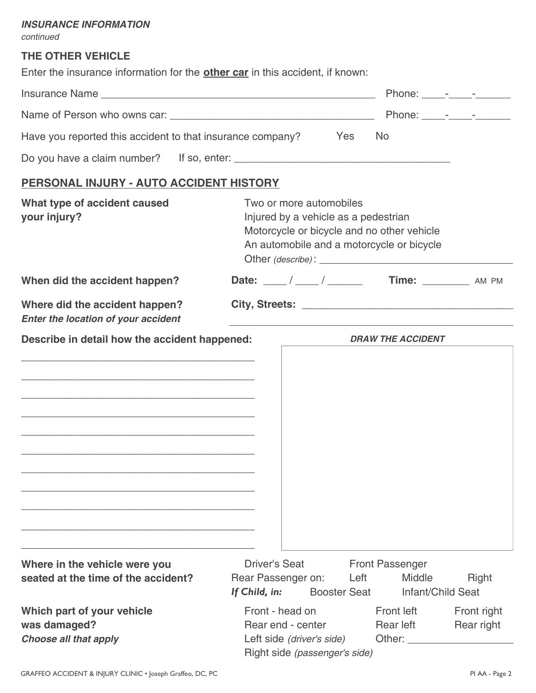#### *INSURANCE INFORMATION*

*continued*

## **THE OTHER VEHICLE**

Enter the insurance information for the **other car** in this accident, if known:

|                                                                                                                                                                                   |                                                                                                                                                            |                                                                                                                                                                                                                                                           | Phone: _____- _____- _______ |  |  |  |
|-----------------------------------------------------------------------------------------------------------------------------------------------------------------------------------|------------------------------------------------------------------------------------------------------------------------------------------------------------|-----------------------------------------------------------------------------------------------------------------------------------------------------------------------------------------------------------------------------------------------------------|------------------------------|--|--|--|
|                                                                                                                                                                                   |                                                                                                                                                            | Phone: _____-________________                                                                                                                                                                                                                             |                              |  |  |  |
| Have you reported this accident to that insurance company? Yes                                                                                                                    | <b>No</b>                                                                                                                                                  |                                                                                                                                                                                                                                                           |                              |  |  |  |
|                                                                                                                                                                                   |                                                                                                                                                            |                                                                                                                                                                                                                                                           |                              |  |  |  |
| PERSONAL INJURY - AUTO ACCIDENT HISTORY                                                                                                                                           |                                                                                                                                                            |                                                                                                                                                                                                                                                           |                              |  |  |  |
| What type of accident caused<br>your injury?                                                                                                                                      | Two or more automobiles<br>Injured by a vehicle as a pedestrian<br>Motorcycle or bicycle and no other vehicle<br>An automobile and a motorcycle or bicycle |                                                                                                                                                                                                                                                           |                              |  |  |  |
| When did the accident happen?                                                                                                                                                     |                                                                                                                                                            |                                                                                                                                                                                                                                                           |                              |  |  |  |
| Where did the accident happen?<br><b>Enter the location of your accident</b>                                                                                                      |                                                                                                                                                            |                                                                                                                                                                                                                                                           |                              |  |  |  |
| Describe in detail how the accident happened:                                                                                                                                     |                                                                                                                                                            | <b>DRAW THE ACCIDENT</b>                                                                                                                                                                                                                                  |                              |  |  |  |
| <u> 1989 - Johann Harry Harry Harry Harry Harry Harry Harry Harry Harry Harry Harry Harry Harry Harry Harry Harry</u><br><u> 1989 - Johann John Stone, mensk politik (* 1958)</u> |                                                                                                                                                            |                                                                                                                                                                                                                                                           |                              |  |  |  |
|                                                                                                                                                                                   |                                                                                                                                                            |                                                                                                                                                                                                                                                           |                              |  |  |  |
| Where in the vehicle were you                                                                                                                                                     | <b>Driver's Seat</b>                                                                                                                                       | <b>Front Passenger</b>                                                                                                                                                                                                                                    |                              |  |  |  |
| seated at the time of the accident?                                                                                                                                               | Rear Passenger on:<br>If Child, in:<br><b>Booster Seat</b>                                                                                                 | Left<br><b>Middle</b><br>Infant/Child Seat                                                                                                                                                                                                                | Right                        |  |  |  |
| Which part of your vehicle<br>was damaged?<br><b>Choose all that apply</b>                                                                                                        | Front - head on<br>Rear end - center<br>Left side (driver's side)<br>Right side (passenger's side)                                                         | Front left<br>Rear left<br>Other: and the contract of the contract of the contract of the contract of the contract of the contract of the contract of the contract of the contract of the contract of the contract of the contract of the contract of the | Front right<br>Rear right    |  |  |  |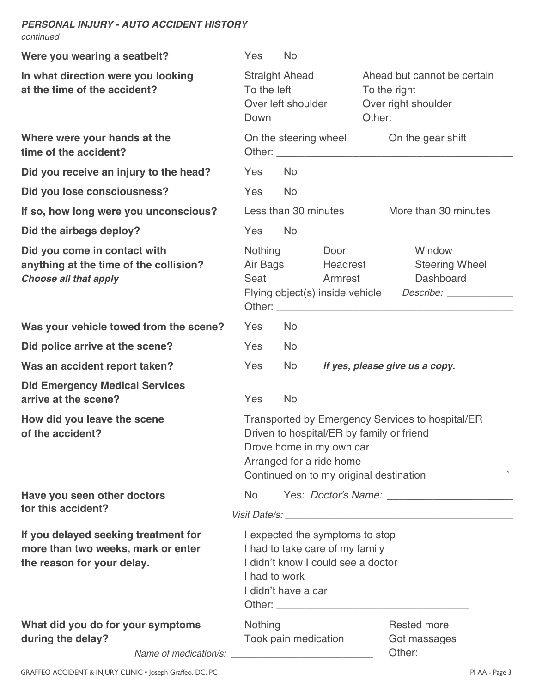#### *PERSONAL INJURY - AUTO ACCIDENT HISTORY continued*

| Were you wearing a seatbelt?                                                                             | Yes                                                                                                                                              | <b>No</b>                                                                                                                                                                                        |                                      |                                                                                        |  |  |
|----------------------------------------------------------------------------------------------------------|--------------------------------------------------------------------------------------------------------------------------------------------------|--------------------------------------------------------------------------------------------------------------------------------------------------------------------------------------------------|--------------------------------------|----------------------------------------------------------------------------------------|--|--|
| In what direction were you looking<br>at the time of the accident?                                       | <b>Straight Ahead</b><br>To the left<br>Over left shoulder<br>Down                                                                               |                                                                                                                                                                                                  |                                      | Ahead but cannot be certain<br>To the right<br>Over right shoulder                     |  |  |
| Where were your hands at the<br>time of the accident?                                                    |                                                                                                                                                  | On the steering wheel On the gear shift                                                                                                                                                          |                                      |                                                                                        |  |  |
| Did you receive an injury to the head?                                                                   | Yes                                                                                                                                              | N <sub>o</sub>                                                                                                                                                                                   |                                      |                                                                                        |  |  |
| Did you lose consciousness?                                                                              | Yes                                                                                                                                              | <b>No</b>                                                                                                                                                                                        |                                      |                                                                                        |  |  |
| If so, how long were you unconscious?                                                                    |                                                                                                                                                  |                                                                                                                                                                                                  | Less than 30 minutes                 | More than 30 minutes                                                                   |  |  |
| Did the airbags deploy?                                                                                  | Yes                                                                                                                                              | <b>No</b>                                                                                                                                                                                        |                                      |                                                                                        |  |  |
| Did you come in contact with<br>anything at the time of the collision?<br><b>Choose all that apply</b>   |                                                                                                                                                  | Nothing<br>Seat                                                                                                                                                                                  | Door<br>Air Bags Headrest<br>Armrest | Window<br><b>Steering Wheel</b><br>Dashboard                                           |  |  |
| Was your vehicle towed from the scene?                                                                   | Yes                                                                                                                                              | N <sub>o</sub>                                                                                                                                                                                   |                                      |                                                                                        |  |  |
| Did police arrive at the scene?                                                                          | Yes                                                                                                                                              | <b>No</b>                                                                                                                                                                                        |                                      |                                                                                        |  |  |
| Was an accident report taken?                                                                            | Yes                                                                                                                                              | <b>No</b>                                                                                                                                                                                        |                                      | If yes, please give us a copy.                                                         |  |  |
| <b>Did Emergency Medical Services</b><br>arrive at the scene?                                            | Yes                                                                                                                                              | <b>No</b>                                                                                                                                                                                        |                                      |                                                                                        |  |  |
| How did you leave the scene<br>of the accident?                                                          |                                                                                                                                                  | Transported by Emergency Services to hospital/ER<br>Driven to hospital/ER by family or friend<br>Drove home in my own car<br>Arranged for a ride home<br>Continued on to my original destination |                                      |                                                                                        |  |  |
| Have you seen other doctors                                                                              | N <sub>o</sub>                                                                                                                                   |                                                                                                                                                                                                  |                                      |                                                                                        |  |  |
| for this accident?                                                                                       |                                                                                                                                                  |                                                                                                                                                                                                  |                                      |                                                                                        |  |  |
| If you delayed seeking treatment for<br>more than two weeks, mark or enter<br>the reason for your delay. | I expected the symptoms to stop<br>I had to take care of my family<br>I didn't know I could see a doctor<br>I had to work<br>I didn't have a car |                                                                                                                                                                                                  |                                      |                                                                                        |  |  |
| What did you do for your symptoms<br>during the delay?<br>Name of medication/s:                          | <b>Nothing</b>                                                                                                                                   | Took pain medication<br><u> 1989 - Johann John Stone, mars et al. (</u>                                                                                                                          |                                      | <b>Rested more</b><br>Got massages<br>Other: <u>www.community-community-community-</u> |  |  |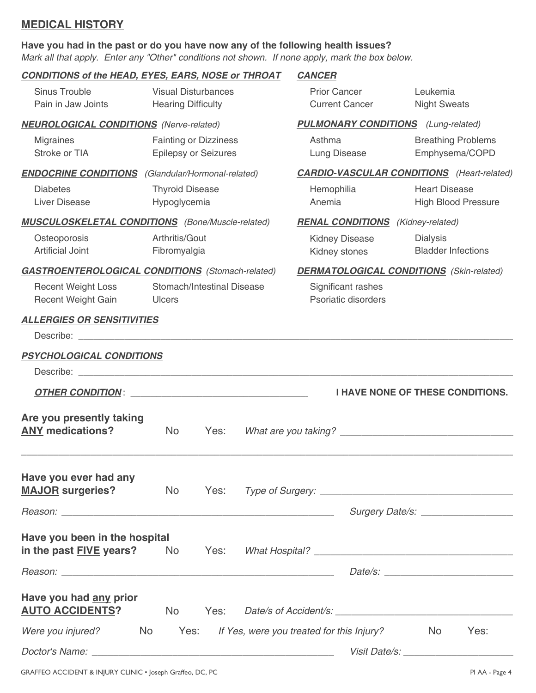## **MEDICAL HISTORY**

#### **Have you had in the past or do you have now any of the following health issues?**

*Mark all that apply. Enter any "Other" conditions not shown. If none apply, mark the box below.*

# *CONDITIONS of the HEAD, EYES, EARS, NOSE or THROAT CANCER* Sinus Trouble Visual Disturbances Prior Cancer Leukemia Pain in Jaw Joints Hearing Difficulty Current Cancer Night Sweats *NEUROLOGICAL CONDITIONS (Nerve-related) PULMONARY CONDITIONS (Lung-related)* Migraines **Fainting or Dizziness Asthma** Breathing Problems Stroke or TIA Epilepsy or Seizures Lung Disease Emphysema/COPD *ENDOCRINE CONDITIONS (Glandular/Hormonal-related) CARDIO-VASCULAR CONDITIONS (Heart-related)* Diabetes Thyroid Disease Hemophilia Heart Disease Liver Disease **Manufatta Hypoglycemia Anemia** Anemia **High Blood Pressure** *MUSCULOSKELETAL CONDITIONS (Bone/Muscle-related) RENAL CONDITIONS (Kidney-related)* Osteoporosis Arthritis/Gout Kidney Disease Dialysis Artificial Joint Fibromyalgia Kidney stones Bladder Infections *GASTROENTEROLOGICAL CONDITIONS (Stomach-related) DERMATOLOGICAL CONDITIONS (Skin-related)* Recent Weight Loss Stomach/Intestinal Disease Significant rashes Recent Weight Gain **Containers** Ulcers **Properties Properties Properties Properties** *ALLERGIES OR SENSITIVITIES* Describe:  $\Box$ *PSYCHOLOGICAL CONDITIONS* Describe: \_\_\_\_\_\_\_\_\_\_\_\_\_\_\_\_\_\_\_\_\_\_\_\_\_\_\_\_\_\_\_\_\_\_\_\_\_\_\_\_\_\_\_\_\_\_\_\_\_\_\_\_\_\_\_\_\_\_\_\_\_\_\_\_\_\_\_\_\_\_\_\_\_\_\_\_\_\_\_\_\_\_\_\_\_ *OTHER CONDITION* : \_\_\_\_\_\_\_\_\_\_\_\_\_\_\_\_\_\_\_\_\_\_\_\_\_\_\_\_\_\_\_\_\_\_\_ **I HAVE NONE OF THESE CONDITIONS. Are you presently taking ANY medications?** No Yes: *What are you taking?* \_\_\_\_\_\_\_\_\_\_\_\_\_\_\_\_\_\_\_\_\_\_\_\_\_\_\_\_\_\_\_\_\_ \_\_\_\_\_\_\_\_\_\_\_\_\_\_\_\_\_\_\_\_\_\_\_\_\_\_\_\_\_\_\_\_\_\_\_\_\_\_\_\_\_\_\_\_\_\_\_\_\_\_\_\_\_\_\_\_\_\_\_\_\_\_\_\_\_\_\_\_\_\_\_\_\_\_\_\_\_\_\_\_\_\_\_\_\_\_\_\_\_\_\_\_ **Have you ever had any MAJOR surgeries?** No Yes: *Type of Surgery:* \_\_\_\_\_\_\_\_\_\_\_\_\_\_\_\_\_\_\_\_\_\_\_\_\_\_\_\_\_\_\_\_\_\_\_\_ *Reason:* \_\_\_\_\_\_\_\_\_\_\_\_\_\_\_\_\_\_\_\_\_\_\_\_\_\_\_\_\_\_\_\_\_\_\_\_\_\_\_\_\_\_\_\_\_\_\_\_\_\_\_ *Surgery Date/s:* \_\_\_\_\_\_\_\_\_\_\_\_\_\_\_\_\_\_ **Have you been in the hospital in the past FIVE years?** No Yes: *What Hospital?* \_\_\_\_\_\_\_\_\_\_\_\_\_\_\_\_\_\_\_\_\_\_\_\_\_\_\_\_\_\_\_ *Reason:* \_\_\_\_\_\_\_\_\_\_\_\_\_\_\_\_\_\_\_\_\_\_\_\_\_\_\_\_\_\_\_\_\_\_\_\_\_\_\_\_\_\_\_\_\_\_\_\_\_\_\_ *Date/s:* \_\_\_\_\_\_\_\_\_\_\_\_\_\_\_\_\_\_\_\_\_\_\_\_ **Have you had any prior AUTO ACCIDENTS?** No Yes: *Date/s of Accident/s: \_\_\_\_\_\_\_\_\_\_\_\_\_\_\_\_\_\_\_\_\_\_\_\_\_\_\_\_\_\_\_\_\_\_ Were you injured?* No Yes: *If Yes, were you treated for this Injury?* No Yes: *Doctor's Name:* \_\_\_\_\_\_\_\_\_\_\_\_\_\_\_\_\_\_\_\_\_\_\_\_\_\_\_\_\_\_\_\_\_\_\_\_\_\_\_\_\_\_\_\_\_\_ *Visit Date/s: \_\_\_\_\_\_\_\_\_\_\_\_\_\_\_\_\_\_\_\_\_*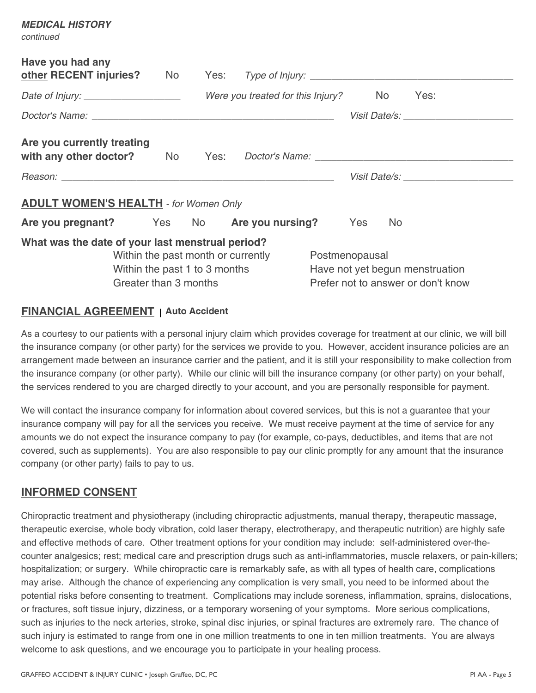| continued                                        |                                    |  |                                      |                                    |                                                                                                                                                                                                                                |  |  |
|--------------------------------------------------|------------------------------------|--|--------------------------------------|------------------------------------|--------------------------------------------------------------------------------------------------------------------------------------------------------------------------------------------------------------------------------|--|--|
| Have you had any                                 |                                    |  |                                      |                                    |                                                                                                                                                                                                                                |  |  |
|                                                  |                                    |  | Were you treated for this Injury? No |                                    | Yes:                                                                                                                                                                                                                           |  |  |
|                                                  |                                    |  |                                      |                                    | Visit Date/s: Visit Date/s:                                                                                                                                                                                                    |  |  |
| Are you currently treating                       |                                    |  |                                      |                                    | with any other doctor? No Yes: Doctor's Name: __________________________________                                                                                                                                               |  |  |
|                                                  |                                    |  |                                      |                                    | Visit Date/s: North State Assembly the Contract of the Contract of the Contract of the Contract of the Contract of the Contract of the Contract of the Contract of the Contract of the Contract of the Contract of the Contrac |  |  |
| <b>ADULT WOMEN'S HEALTH - for Women Only</b>     |                                    |  |                                      |                                    |                                                                                                                                                                                                                                |  |  |
| Are you pregnant? Yes No Are you nursing? Yes    |                                    |  |                                      | No.                                |                                                                                                                                                                                                                                |  |  |
| What was the date of your last menstrual period? |                                    |  |                                      |                                    |                                                                                                                                                                                                                                |  |  |
|                                                  | Within the past month or currently |  |                                      | Postmenopausal                     |                                                                                                                                                                                                                                |  |  |
|                                                  | Within the past 1 to 3 months      |  |                                      | Have not yet begun menstruation    |                                                                                                                                                                                                                                |  |  |
| Greater than 3 months                            |                                    |  |                                      | Prefer not to answer or don't know |                                                                                                                                                                                                                                |  |  |

## **FINANCIAL AGREEMENT Auto Accident |**

As a courtesy to our patients with a personal injury claim which provides coverage for treatment at our clinic, we will bill the insurance company (or other party) for the services we provide to you. However, accident insurance policies are an arrangement made between an insurance carrier and the patient, and it is still your responsibility to make collection from the insurance company (or other party). While our clinic will bill the insurance company (or other party) on your behalf, the services rendered to you are charged directly to your account, and you are personally responsible for payment.

We will contact the insurance company for information about covered services, but this is not a quarantee that your insurance company will pay for all the services you receive. We must receive payment at the time of service for any amounts we do not expect the insurance company to pay (for example, co-pays, deductibles, and items that are not covered, such as supplements). You are also responsible to pay our clinic promptly for any amount that the insurance company (or other party) fails to pay to us.

### **INFORMED CONSENT**

*MEDICAL HISTORY*

Chiropractic treatment and physiotherapy (including chiropractic adjustments, manual therapy, therapeutic massage, therapeutic exercise, whole body vibration, cold laser therapy, electrotherapy, and therapeutic nutrition) are highly safe and effective methods of care. Other treatment options for your condition may include: self-administered over-thecounter analgesics; rest; medical care and prescription drugs such as anti-inflammatories, muscle relaxers, or pain-killers; hospitalization; or surgery. While chiropractic care is remarkably safe, as with all types of health care, complications may arise. Although the chance of experiencing any complication is very small, you need to be informed about the potential risks before consenting to treatment. Complications may include soreness, inflammation, sprains, dislocations, or fractures, soft tissue injury, dizziness, or a temporary worsening of your symptoms. More serious complications, such as injuries to the neck arteries, stroke, spinal disc injuries, or spinal fractures are extremely rare. The chance of such injury is estimated to range from one in one million treatments to one in ten million treatments. You are always welcome to ask questions, and we encourage you to participate in your healing process.